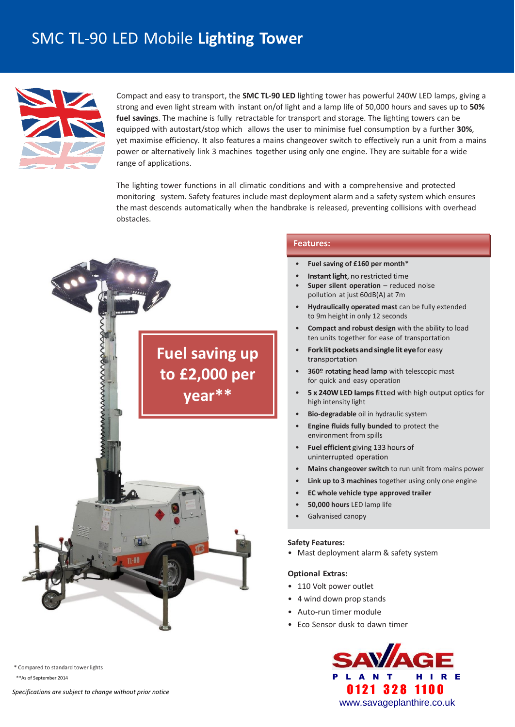# SMC TL-90 LED Mobile **Lighting Tower**



Compact and easy to transport, the **SMC TL-90 LED** lighting tower has powerful 240W LED lamps, giving a strong and even light stream with instant on/of light and a lamp life of 50,000 hours and saves up to **50% fuel savings**. The machine is fully retractable for transport and storage. The lighting towers can be equipped with autostart/stop which allows the user to minimise fuel consumption by a further **30%**, yet maximise efficiency. It also features a mains changeover switch to effectively run a unit from a mains power or alternatively link 3 machines together using only one engine. They are suitable for a wide range of applications.

The lighting tower functions in all climatic conditions and with a comprehensive and protected monitoring system. Safety features include mast deployment alarm and a safety system which ensures the mast descends automatically when the handbrake is released, preventing collisions with overhead obstacles.



\* Compared to standard tower lights

### **Features: Features:**

- **Fuel saving of £160 per month**\*
- Instant light, no restricted time •
- **Super silent operation** reduced noise pollution at just 60dB(A) at 7m
- **Hydraulically operated mast** can be fully extended to 9m height in only 12 seconds
- **Compact and robust design** with the ability to load ten units together for ease of transportation
- Fork lit pockets and single lit eye for easy transportation
- **360º rotating head lamp** with telescopic mast for quick and easy operation
- 5 x 240W LED lamps fitted with high output optics for • high intensity light
- **Bio-degradable** oil in hydraulic system
- **Engine fluids fully bunded** to protect the environment from spills
- Fuel efficient giving 133 hours of • uninterrupted operation
- **Mains changeover switch** to run unit from mains power
- **Link up to 3 machines** together using only one engine
- **EC whole vehicle type approved trailer**
- **50,000 hours** LED lamp life
- Galvanised canopy

### **Safety Features:**

• Mast deployment alarm & safety system

### **Optional Extras:**

- 110 Volt power outlet
- 4 wind down prop stands
- Auto-run timer module
- Eco Sensor dusk to dawn timer